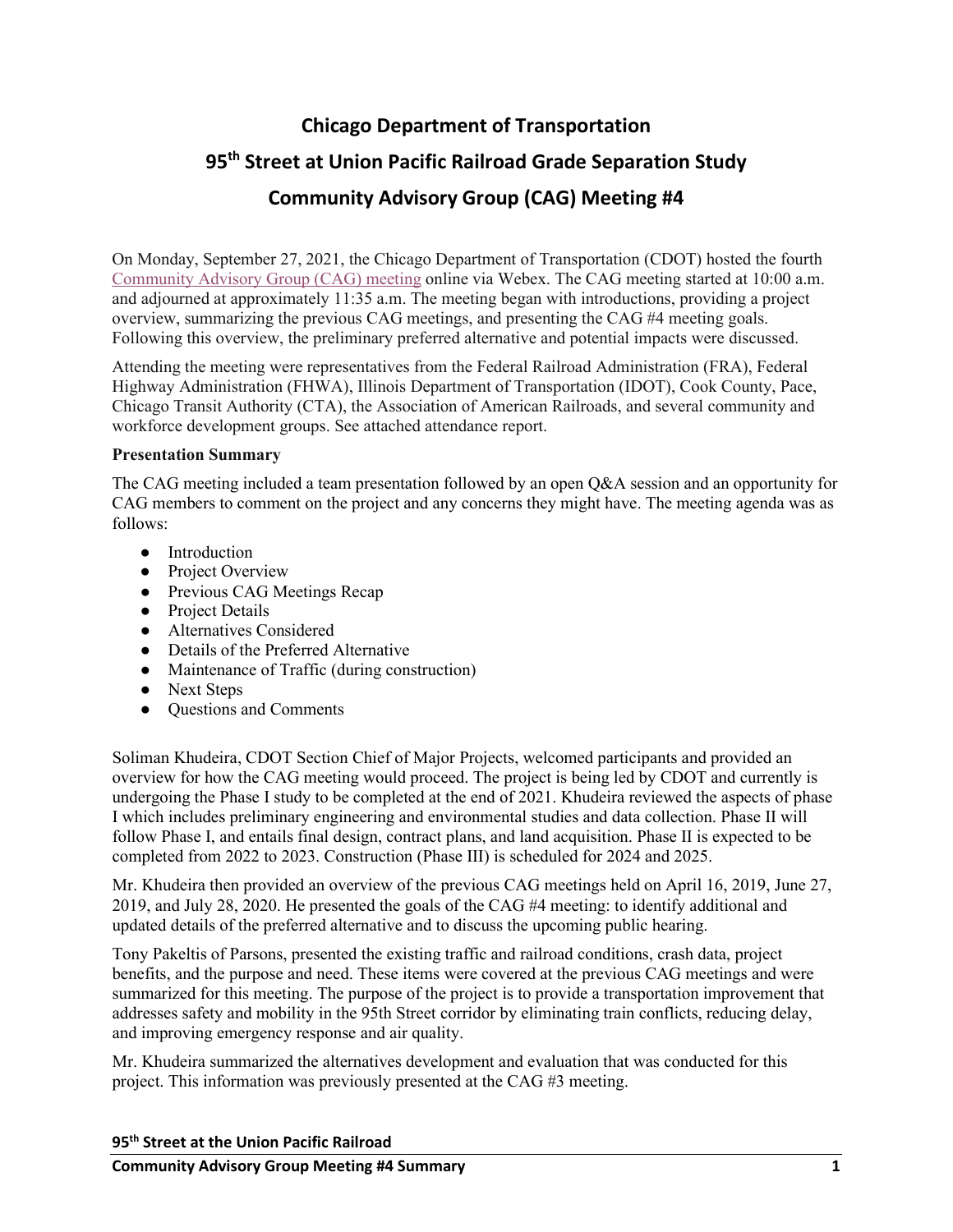# **Chicago Department of Transportation 95th Street at Union Pacific Railroad Grade Separation Study Community Advisory Group (CAG) Meeting #4**

On Monday, September 27, 2021, the Chicago Department of Transportation (CDOT) hosted the fourth [Community Advisory Group \(CAG\) meeting](https://www.95thuprr.com/community-advisory-group/) online via Webex. The CAG meeting started at 10:00 a.m. and adjourned at approximately 11:35 a.m. The meeting began with introductions, providing a project overview, summarizing the previous CAG meetings, and presenting the CAG #4 meeting goals. Following this overview, the preliminary preferred alternative and potential impacts were discussed.

Attending the meeting were representatives from the Federal Railroad Administration (FRA), Federal Highway Administration (FHWA), Illinois Department of Transportation (IDOT), Cook County, Pace, Chicago Transit Authority (CTA), the Association of American Railroads, and several community and workforce development groups. See attached attendance report.

# **Presentation Summary**

The CAG meeting included a team presentation followed by an open Q&A session and an opportunity for CAG members to comment on the project and any concerns they might have. The meeting agenda was as follows:

- Introduction
- Project Overview
- Previous CAG Meetings Recap
- Project Details
- Alternatives Considered
- Details of the Preferred Alternative
- Maintenance of Traffic (during construction)
- Next Steps
- Questions and Comments

Soliman Khudeira, CDOT Section Chief of Major Projects, welcomed participants and provided an overview for how the CAG meeting would proceed. The project is being led by CDOT and currently is undergoing the Phase I study to be completed at the end of 2021. Khudeira reviewed the aspects of phase I which includes preliminary engineering and environmental studies and data collection. Phase II will follow Phase I, and entails final design, contract plans, and land acquisition. Phase II is expected to be completed from 2022 to 2023. Construction (Phase III) is scheduled for 2024 and 2025.

Mr. Khudeira then provided an overview of the previous CAG meetings held on April 16, 2019, June 27, 2019, and July 28, 2020. He presented the goals of the CAG #4 meeting: to identify additional and updated details of the preferred alternative and to discuss the upcoming public hearing.

Tony Pakeltis of Parsons, presented the existing traffic and railroad conditions, crash data, project benefits, and the purpose and need. These items were covered at the previous CAG meetings and were summarized for this meeting. The purpose of the project is to provide a transportation improvement that addresses safety and mobility in the 95th Street corridor by eliminating train conflicts, reducing delay, and improving emergency response and air quality.

Mr. Khudeira summarized the alternatives development and evaluation that was conducted for this project. This information was previously presented at the CAG #3 meeting.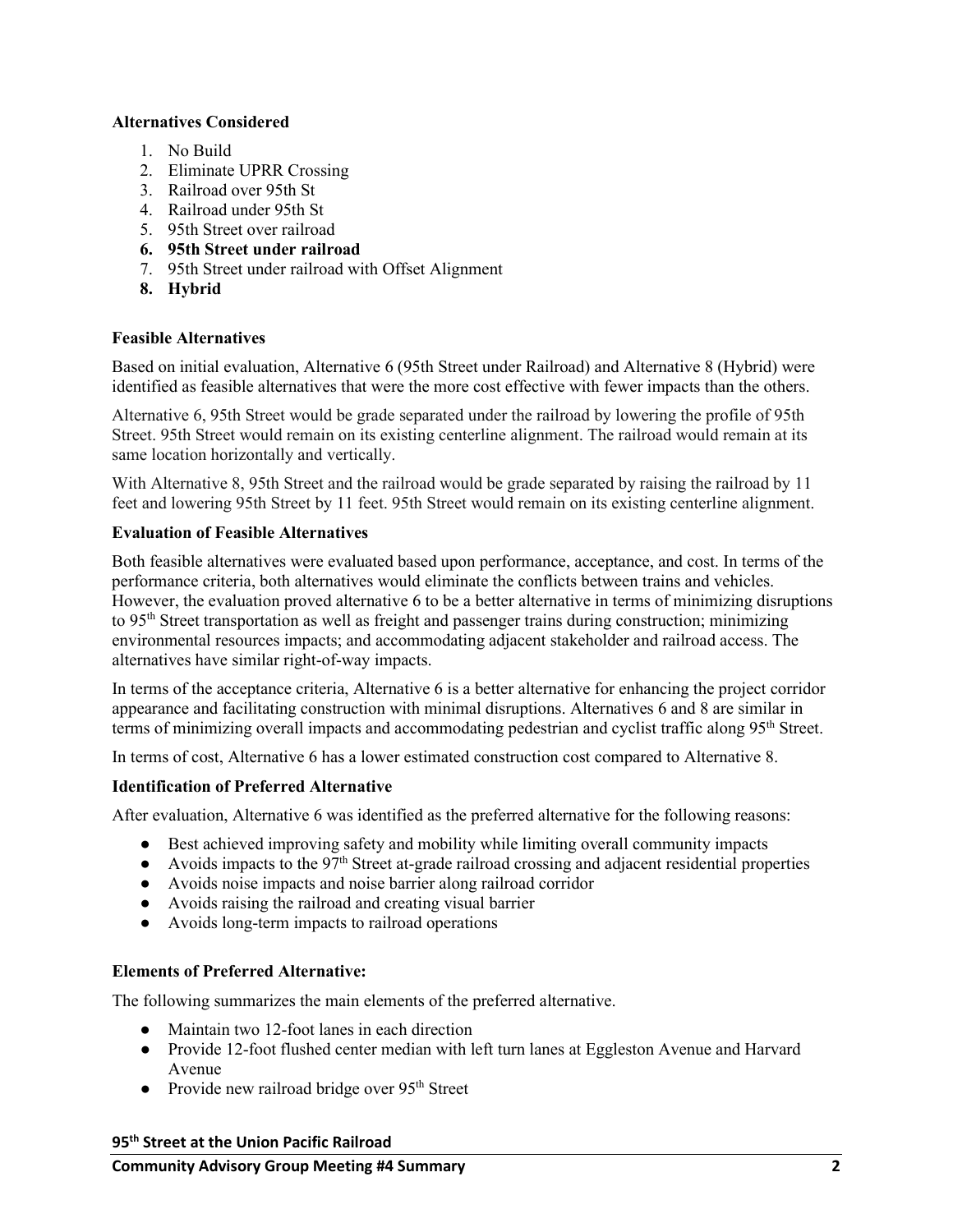#### **Alternatives Considered**

- 1. No Build
- 2. Eliminate UPRR Crossing
- 3. Railroad over 95th St
- 4. Railroad under 95th St
- 5. 95th Street over railroad
- **6. 95th Street under railroad**
- 7. 95th Street under railroad with Offset Alignment
- **8. Hybrid**

# **Feasible Alternatives**

Based on initial evaluation, Alternative 6 (95th Street under Railroad) and Alternative 8 (Hybrid) were identified as feasible alternatives that were the more cost effective with fewer impacts than the others.

Alternative 6, 95th Street would be grade separated under the railroad by lowering the profile of 95th Street. 95th Street would remain on its existing centerline alignment. The railroad would remain at its same location horizontally and vertically.

With Alternative 8, 95th Street and the railroad would be grade separated by raising the railroad by 11 feet and lowering 95th Street by 11 feet. 95th Street would remain on its existing centerline alignment.

#### **Evaluation of Feasible Alternatives**

Both feasible alternatives were evaluated based upon performance, acceptance, and cost. In terms of the performance criteria, both alternatives would eliminate the conflicts between trains and vehicles. However, the evaluation proved alternative 6 to be a better alternative in terms of minimizing disruptions to 95th Street transportation as well as freight and passenger trains during construction; minimizing environmental resources impacts; and accommodating adjacent stakeholder and railroad access. The alternatives have similar right-of-way impacts.

In terms of the acceptance criteria, Alternative 6 is a better alternative for enhancing the project corridor appearance and facilitating construction with minimal disruptions. Alternatives 6 and 8 are similar in terms of minimizing overall impacts and accommodating pedestrian and cyclist traffic along 95th Street.

In terms of cost, Alternative 6 has a lower estimated construction cost compared to Alternative 8.

# **Identification of Preferred Alternative**

After evaluation, Alternative 6 was identified as the preferred alternative for the following reasons:

- Best achieved improving safety and mobility while limiting overall community impacts
- Avoids impacts to the  $97<sup>th</sup>$  Street at-grade railroad crossing and adjacent residential properties
- Avoids noise impacts and noise barrier along railroad corridor
- Avoids raising the railroad and creating visual barrier
- Avoids long-term impacts to railroad operations

# **Elements of Preferred Alternative:**

The following summarizes the main elements of the preferred alternative.

- Maintain two 12-foot lanes in each direction
- Provide 12-foot flushed center median with left turn lanes at Eggleston Avenue and Harvard Avenue
- Provide new railroad bridge over  $95<sup>th</sup>$  Street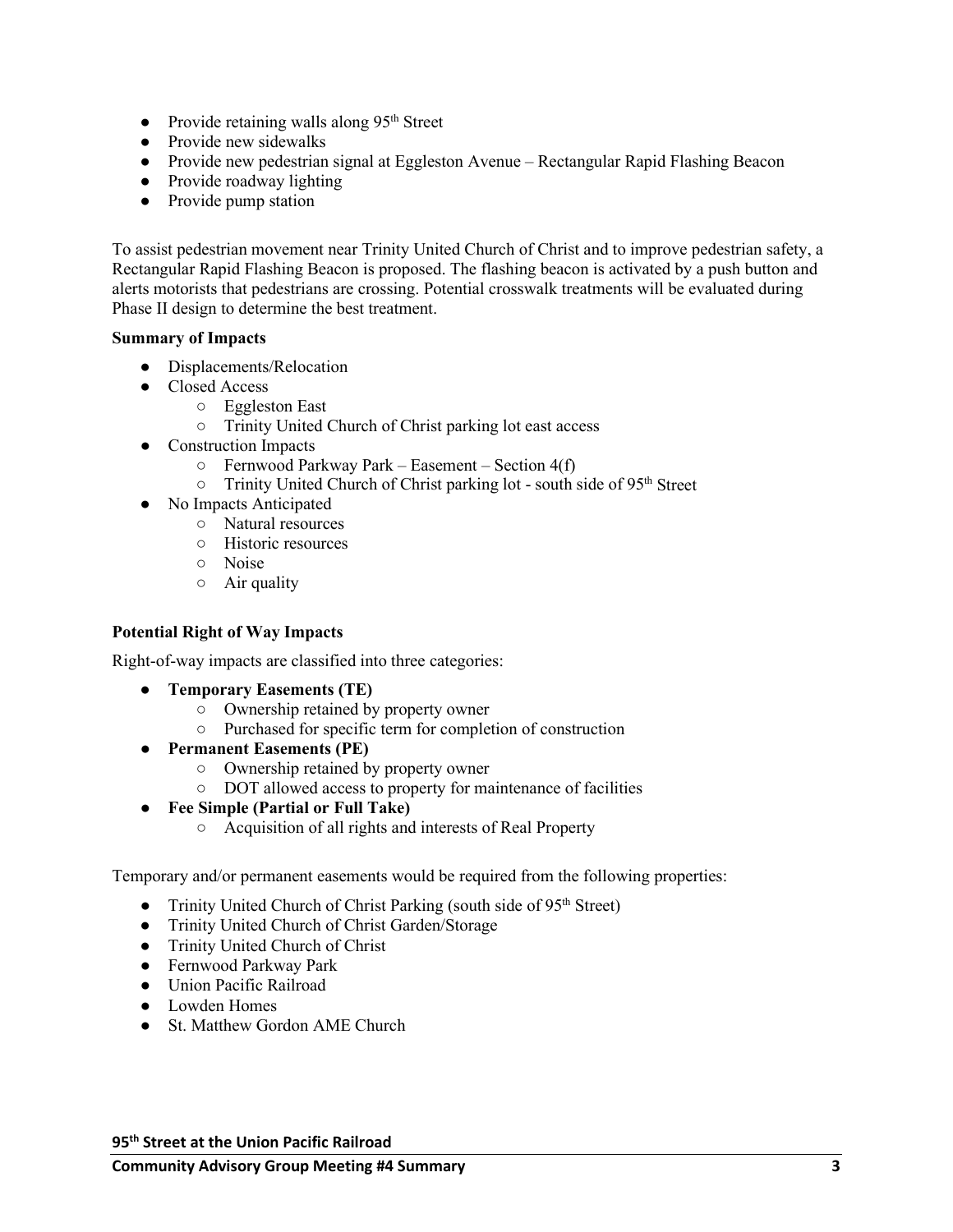- $\bullet$  Provide retaining walls along 95<sup>th</sup> Street
- Provide new sidewalks
- Provide new pedestrian signal at Eggleston Avenue Rectangular Rapid Flashing Beacon
- Provide roadway lighting
- Provide pump station

To assist pedestrian movement near Trinity United Church of Christ and to improve pedestrian safety, a Rectangular Rapid Flashing Beacon is proposed. The flashing beacon is activated by a push button and alerts motorists that pedestrians are crossing. Potential crosswalk treatments will be evaluated during Phase II design to determine the best treatment.

#### **Summary of Impacts**

- Displacements/Relocation
- Closed Access
	- Eggleston East
	- Trinity United Church of Christ parking lot east access
- Construction Impacts
	- $\circ$  Fernwood Parkway Park Easement Section 4(f)
	- Trinity United Church of Christ parking lot south side of 95<sup>th</sup> Street
- No Impacts Anticipated
	- Natural resources
	- Historic resources
	- Noise
	- $\circ$  Air quality

# **Potential Right of Way Impacts**

Right-of-way impacts are classified into three categories:

- **Temporary Easements (TE)**
	- Ownership retained by property owner
	- Purchased for specific term for completion of construction
- **Permanent Easements (PE)**
	- Ownership retained by property owner
	- DOT allowed access to property for maintenance of facilities
- **Fee Simple (Partial or Full Take)**
	- Acquisition of all rights and interests of Real Property

Temporary and/or permanent easements would be required from the following properties:

- Trinity United Church of Christ Parking (south side of 95<sup>th</sup> Street)
- Trinity United Church of Christ Garden/Storage
- Trinity United Church of Christ
- Fernwood Parkway Park
- Union Pacific Railroad
- Lowden Homes
- St. Matthew Gordon AME Church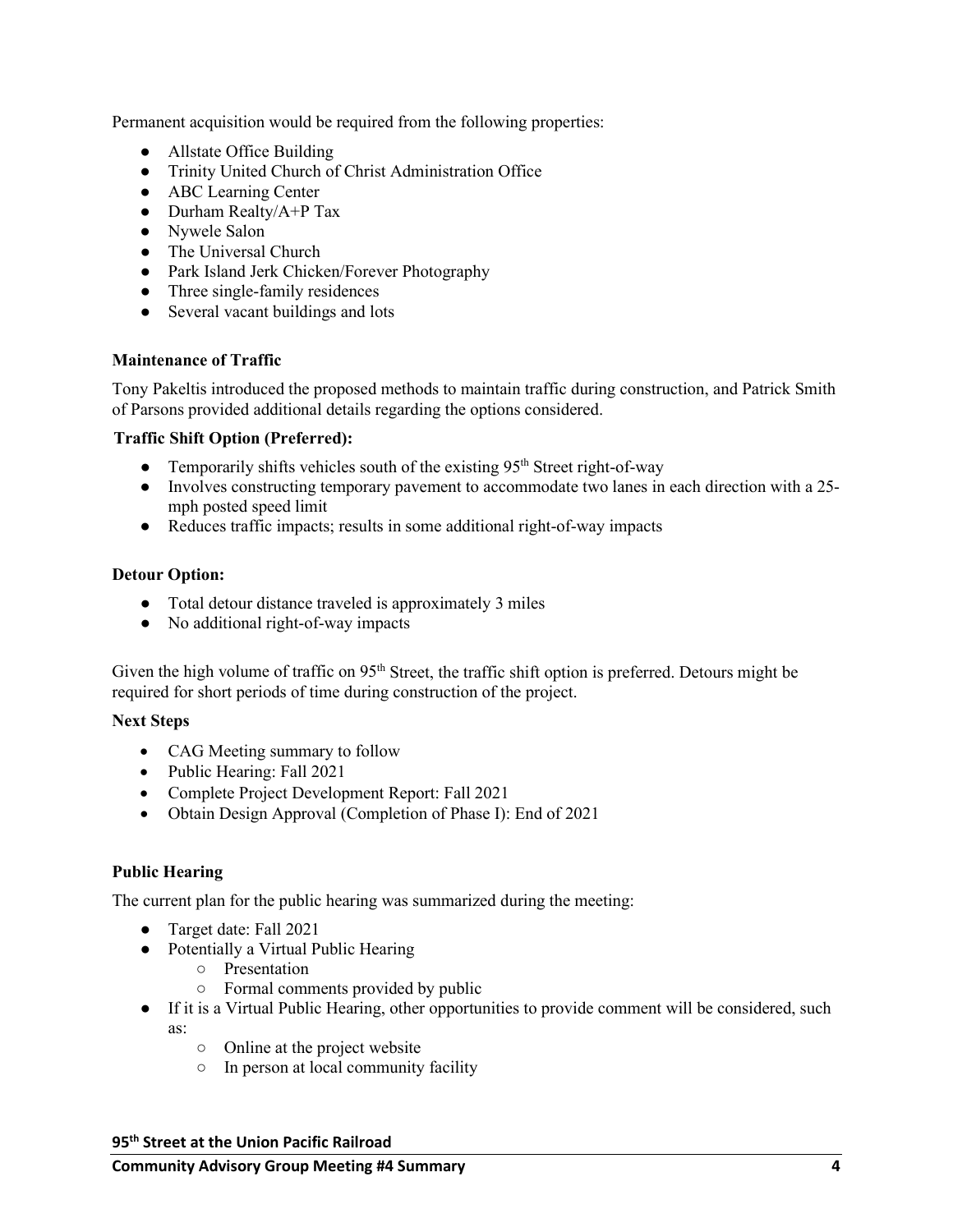Permanent acquisition would be required from the following properties:

- Allstate Office Building
- Trinity United Church of Christ Administration Office
- ABC Learning Center
- $\bullet$  Durham Realty/A+P Tax
- Nywele Salon
- The Universal Church
- Park Island Jerk Chicken/Forever Photography
- Three single-family residences
- Several vacant buildings and lots

#### **Maintenance of Traffic**

Tony Pakeltis introduced the proposed methods to maintain traffic during construction, and Patrick Smith of Parsons provided additional details regarding the options considered.

# **Traffic Shift Option (Preferred):**

- Temporarily shifts vehicles south of the existing  $95<sup>th</sup>$  Street right-of-way
- Involves constructing temporary pavement to accommodate two lanes in each direction with a 25 mph posted speed limit
- Reduces traffic impacts; results in some additional right-of-way impacts

#### **Detour Option:**

- Total detour distance traveled is approximately 3 miles
- No additional right-of-way impacts

Given the high volume of traffic on 95<sup>th</sup> Street, the traffic shift option is preferred. Detours might be required for short periods of time during construction of the project.

#### **Next Steps**

- CAG Meeting summary to follow
- Public Hearing: Fall 2021
- Complete Project Development Report: Fall 2021
- Obtain Design Approval (Completion of Phase I): End of 2021

# **Public Hearing**

The current plan for the public hearing was summarized during the meeting:

- Target date: Fall 2021
- Potentially a Virtual Public Hearing
	- Presentation
	- Formal comments provided by public
- If it is a Virtual Public Hearing, other opportunities to provide comment will be considered, such as:
	- Online at the project website
	- In person at local community facility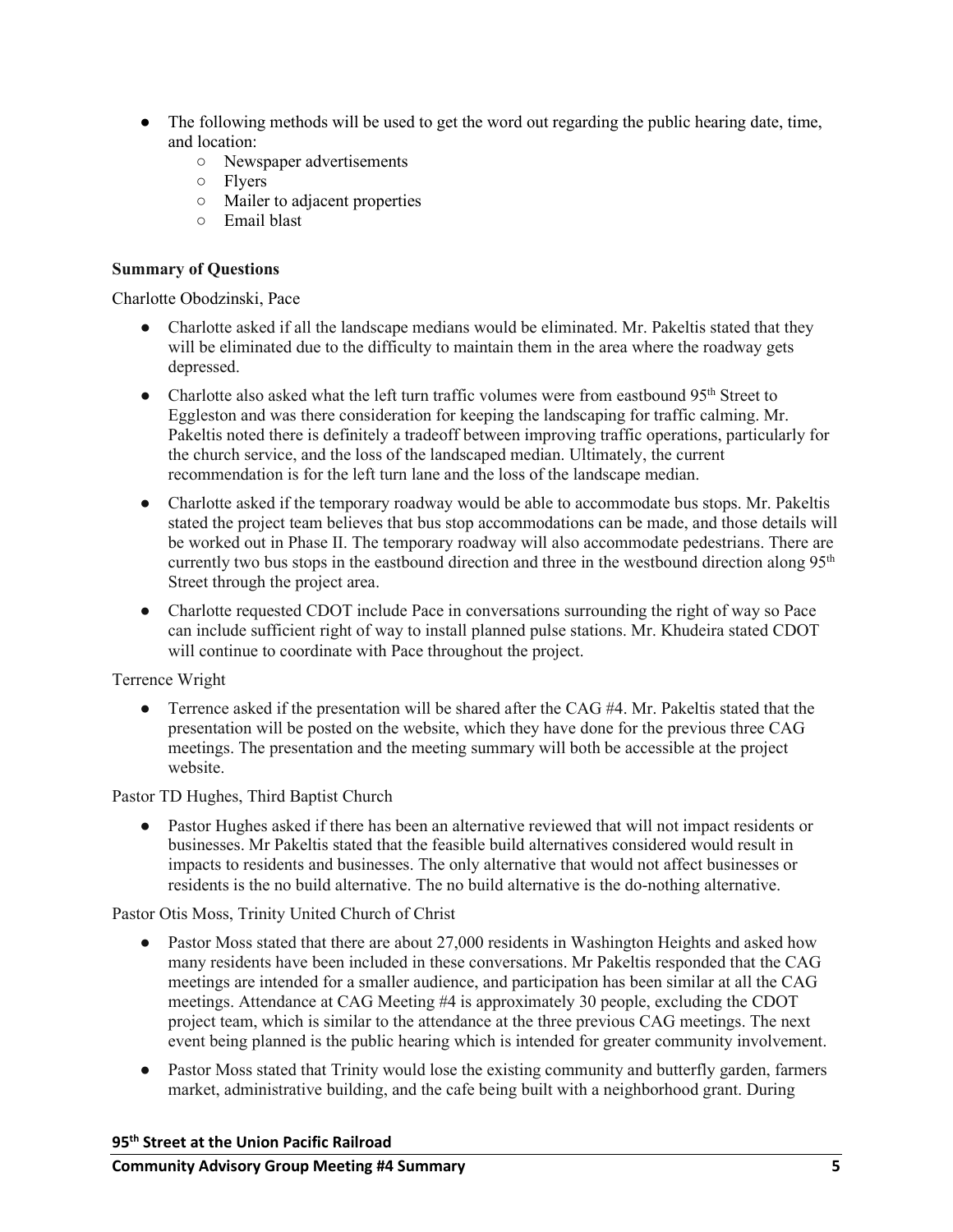- The following methods will be used to get the word out regarding the public hearing date, time, and location:
	- Newspaper advertisements
	- Flyers
	- Mailer to adjacent properties
	- Email blast

# **Summary of Questions**

Charlotte Obodzinski, Pace

- Charlotte asked if all the landscape medians would be eliminated. Mr. Pakeltis stated that they will be eliminated due to the difficulty to maintain them in the area where the roadway gets depressed.
- Charlotte also asked what the left turn traffic volumes were from eastbound  $95<sup>th</sup>$  Street to Eggleston and was there consideration for keeping the landscaping for traffic calming. Mr. Pakeltis noted there is definitely a tradeoff between improving traffic operations, particularly for the church service, and the loss of the landscaped median. Ultimately, the current recommendation is for the left turn lane and the loss of the landscape median.
- Charlotte asked if the temporary roadway would be able to accommodate bus stops. Mr. Pakeltis stated the project team believes that bus stop accommodations can be made, and those details will be worked out in Phase II. The temporary roadway will also accommodate pedestrians. There are currently two bus stops in the eastbound direction and three in the westbound direction along  $95<sup>th</sup>$ Street through the project area.
- Charlotte requested CDOT include Pace in conversations surrounding the right of way so Pace can include sufficient right of way to install planned pulse stations. Mr. Khudeira stated CDOT will continue to coordinate with Pace throughout the project.

# Terrence Wright

• Terrence asked if the presentation will be shared after the CAG #4. Mr. Pakeltis stated that the presentation will be posted on the website, which they have done for the previous three CAG meetings. The presentation and the meeting summary will both be accessible at the project website.

Pastor TD Hughes, Third Baptist Church

● Pastor Hughes asked if there has been an alternative reviewed that will not impact residents or businesses. Mr Pakeltis stated that the feasible build alternatives considered would result in impacts to residents and businesses. The only alternative that would not affect businesses or residents is the no build alternative. The no build alternative is the do-nothing alternative.

Pastor Otis Moss, Trinity United Church of Christ

- Pastor Moss stated that there are about 27,000 residents in Washington Heights and asked how many residents have been included in these conversations. Mr Pakeltis responded that the CAG meetings are intended for a smaller audience, and participation has been similar at all the CAG meetings. Attendance at CAG Meeting #4 is approximately 30 people, excluding the CDOT project team, which is similar to the attendance at the three previous CAG meetings. The next event being planned is the public hearing which is intended for greater community involvement.
- Pastor Moss stated that Trinity would lose the existing community and butterfly garden, farmers market, administrative building, and the cafe being built with a neighborhood grant. During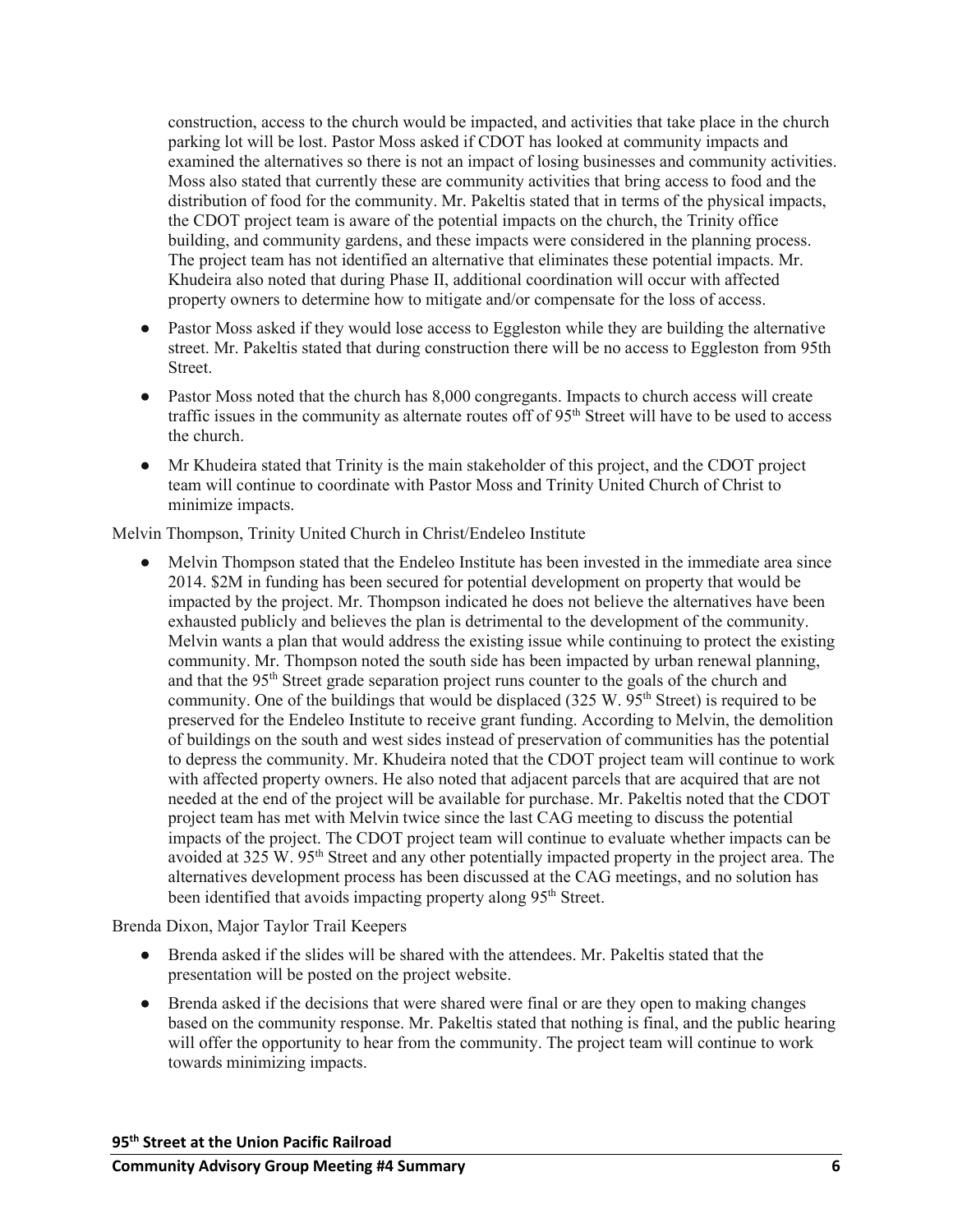construction, access to the church would be impacted, and activities that take place in the church parking lot will be lost. Pastor Moss asked if CDOT has looked at community impacts and examined the alternatives so there is not an impact of losing businesses and community activities. Moss also stated that currently these are community activities that bring access to food and the distribution of food for the community. Mr. Pakeltis stated that in terms of the physical impacts, the CDOT project team is aware of the potential impacts on the church, the Trinity office building, and community gardens, and these impacts were considered in the planning process. The project team has not identified an alternative that eliminates these potential impacts. Mr. Khudeira also noted that during Phase II, additional coordination will occur with affected property owners to determine how to mitigate and/or compensate for the loss of access.

- Pastor Moss asked if they would lose access to Eggleston while they are building the alternative street. Mr. Pakeltis stated that during construction there will be no access to Eggleston from 95th Street.
- Pastor Moss noted that the church has 8,000 congregants. Impacts to church access will create traffic issues in the community as alternate routes off of 95th Street will have to be used to access the church.
- Mr Khudeira stated that Trinity is the main stakeholder of this project, and the CDOT project team will continue to coordinate with Pastor Moss and Trinity United Church of Christ to minimize impacts.

Melvin Thompson, Trinity United Church in Christ/Endeleo Institute

• Melvin Thompson stated that the Endeleo Institute has been invested in the immediate area since 2014. \$2M in funding has been secured for potential development on property that would be impacted by the project. Mr. Thompson indicated he does not believe the alternatives have been exhausted publicly and believes the plan is detrimental to the development of the community. Melvin wants a plan that would address the existing issue while continuing to protect the existing community. Mr. Thompson noted the south side has been impacted by urban renewal planning, and that the 95<sup>th</sup> Street grade separation project runs counter to the goals of the church and community. One of the buildings that would be displaced  $(325 \text{ W}$ .  $95^{\text{th}}$  Street) is required to be preserved for the Endeleo Institute to receive grant funding. According to Melvin, the demolition of buildings on the south and west sides instead of preservation of communities has the potential to depress the community. Mr. Khudeira noted that the CDOT project team will continue to work with affected property owners. He also noted that adjacent parcels that are acquired that are not needed at the end of the project will be available for purchase. Mr. Pakeltis noted that the CDOT project team has met with Melvin twice since the last CAG meeting to discuss the potential impacts of the project. The CDOT project team will continue to evaluate whether impacts can be avoided at 325 W. 95th Street and any other potentially impacted property in the project area. The alternatives development process has been discussed at the CAG meetings, and no solution has been identified that avoids impacting property along 95<sup>th</sup> Street.

Brenda Dixon, Major Taylor Trail Keepers

- Brenda asked if the slides will be shared with the attendees. Mr. Pakeltis stated that the presentation will be posted on the project website.
- Brenda asked if the decisions that were shared were final or are they open to making changes based on the community response. Mr. Pakeltis stated that nothing is final, and the public hearing will offer the opportunity to hear from the community. The project team will continue to work towards minimizing impacts.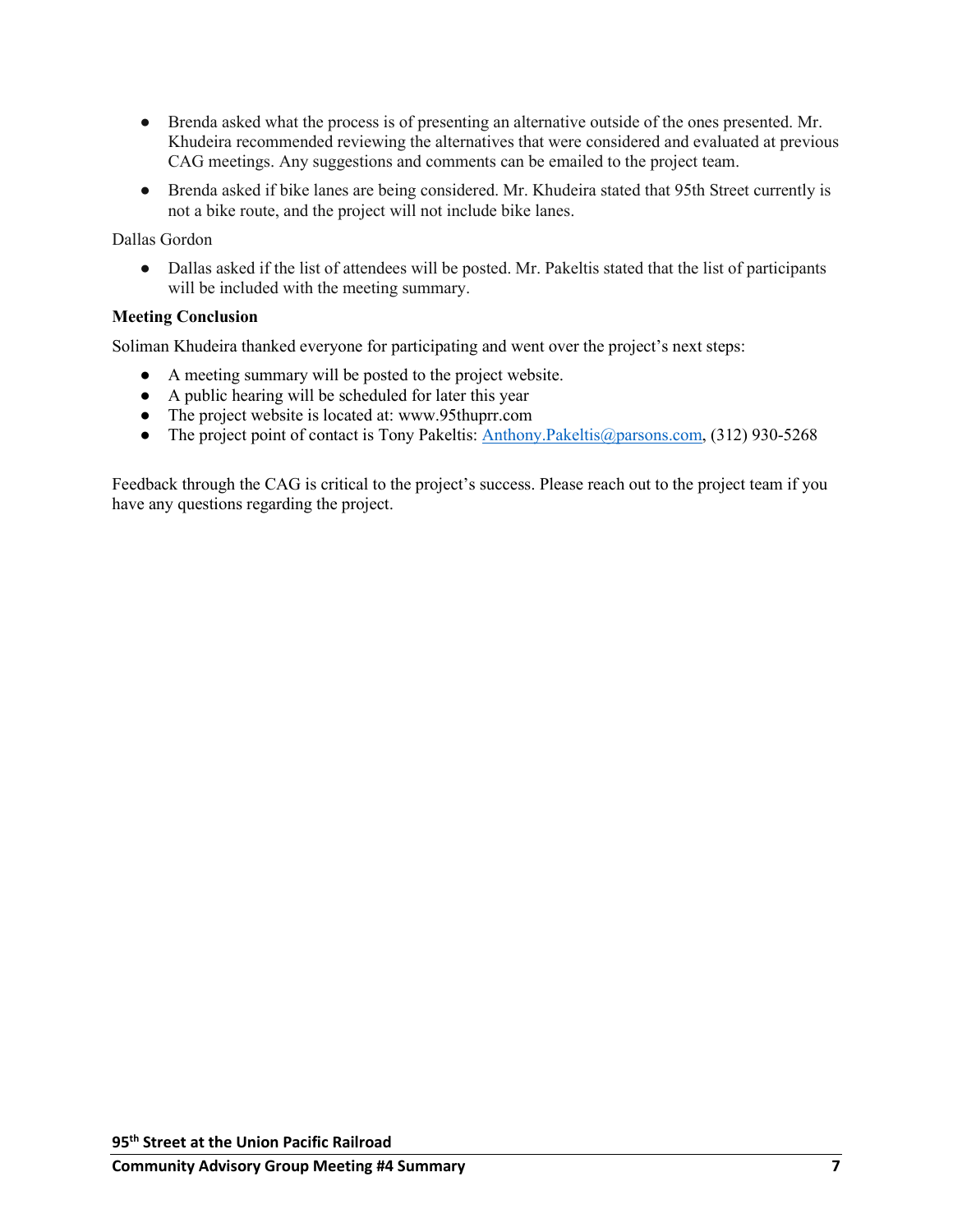- Brenda asked what the process is of presenting an alternative outside of the ones presented. Mr. Khudeira recommended reviewing the alternatives that were considered and evaluated at previous CAG meetings. Any suggestions and comments can be emailed to the project team.
- Brenda asked if bike lanes are being considered. Mr. Khudeira stated that 95th Street currently is not a bike route, and the project will not include bike lanes.

Dallas Gordon

• Dallas asked if the list of attendees will be posted. Mr. Pakeltis stated that the list of participants will be included with the meeting summary.

# **Meeting Conclusion**

Soliman Khudeira thanked everyone for participating and went over the project's next steps:

- A meeting summary will be posted to the project website.
- A public hearing will be scheduled for later this year
- The project website is located at: www.95thuprr.com
- The project point of contact is Tony Pakeltis: [Anthony.Pakeltis@parsons.com,](mailto:Anthony.Pakeltis@parsons.com) (312) 930-5268

Feedback through the CAG is critical to the project's success. Please reach out to the project team if you have any questions regarding the project.